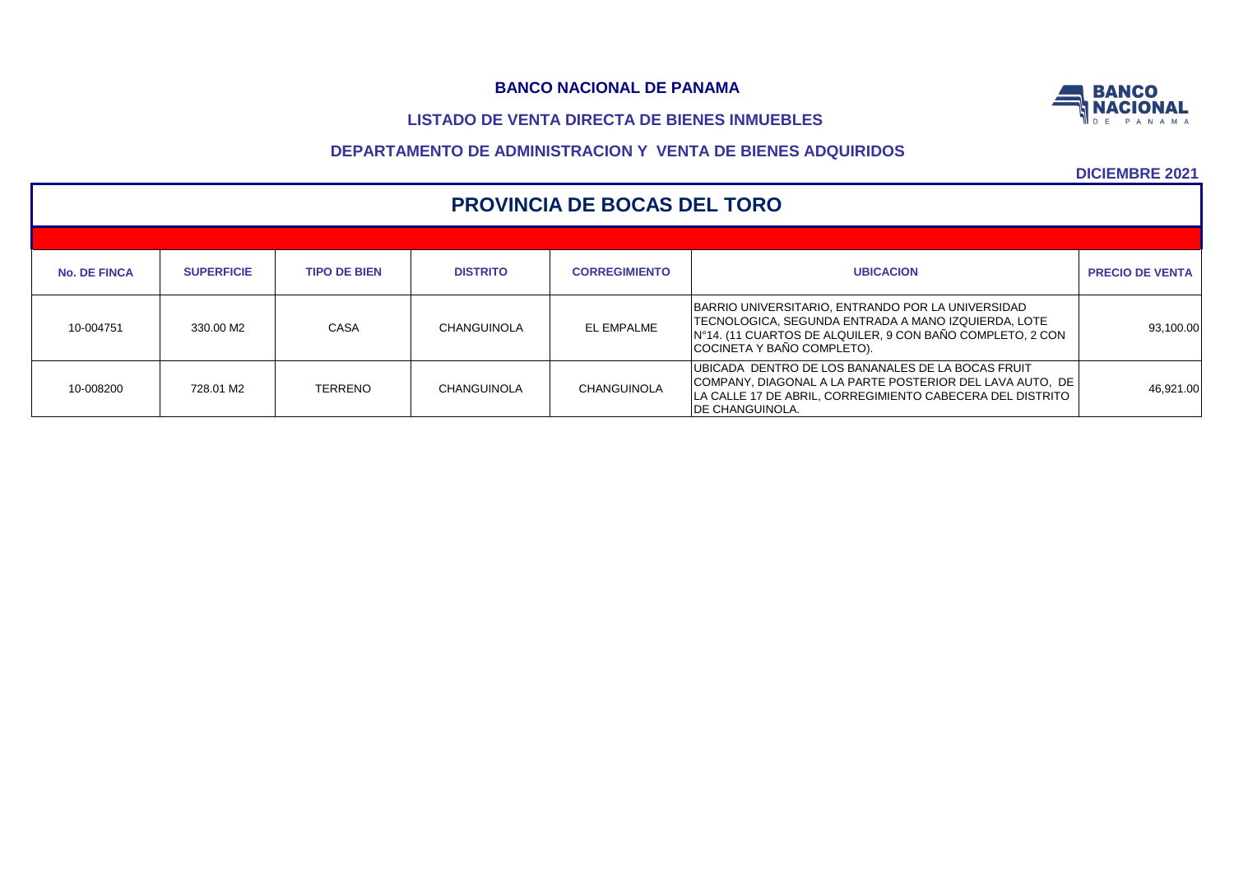# **LISTADO DE VENTA DIRECTA DE BIENES INMUEBLES**



|                     | <b>PROVINCIA DE BOCAS DEL TORO</b> |                     |                 |                      |                                                                                                                                                                                                       |                        |  |  |  |  |  |  |
|---------------------|------------------------------------|---------------------|-----------------|----------------------|-------------------------------------------------------------------------------------------------------------------------------------------------------------------------------------------------------|------------------------|--|--|--|--|--|--|
| <b>No. DE FINCA</b> | <b>SUPERFICIE</b>                  | <b>TIPO DE BIEN</b> | <b>DISTRITO</b> | <b>CORREGIMIENTO</b> | <b>UBICACION</b>                                                                                                                                                                                      | <b>PRECIO DE VENTA</b> |  |  |  |  |  |  |
|                     |                                    |                     |                 |                      | BARRIO UNIVERSITARIO, ENTRANDO POR LA UNIVERSIDAD                                                                                                                                                     |                        |  |  |  |  |  |  |
| 10-004751           | 330.00 M2                          | CASA                | CHANGUINOLA     | EL EMPALME           | TECNOLOGICA, SEGUNDA ENTRADA A MANO IZQUIERDA, LOTE<br>IN°14. (11 CUARTOS DE ALQUILER, 9 CON BAÑO COMPLETO, 2 CON<br>COCINETA Y BAÑO COMPLETO).                                                       | 93,100.00              |  |  |  |  |  |  |
| 10-008200           | 728.01 M2                          | <b>TERRENO</b>      | CHANGUINOLA     | CHANGUINOLA          | UBICADA DENTRO DE LOS BANANALES DE LA BOCAS FRUIT<br>COMPANY, DIAGONAL A LA PARTE POSTERIOR DEL LAVA AUTO, DE<br>LA CALLE 17 DE ABRIL, CORREGIMIENTO CABECERA DEL DISTRITO<br><b>IDE CHANGUINOLA.</b> | 46,921.00              |  |  |  |  |  |  |

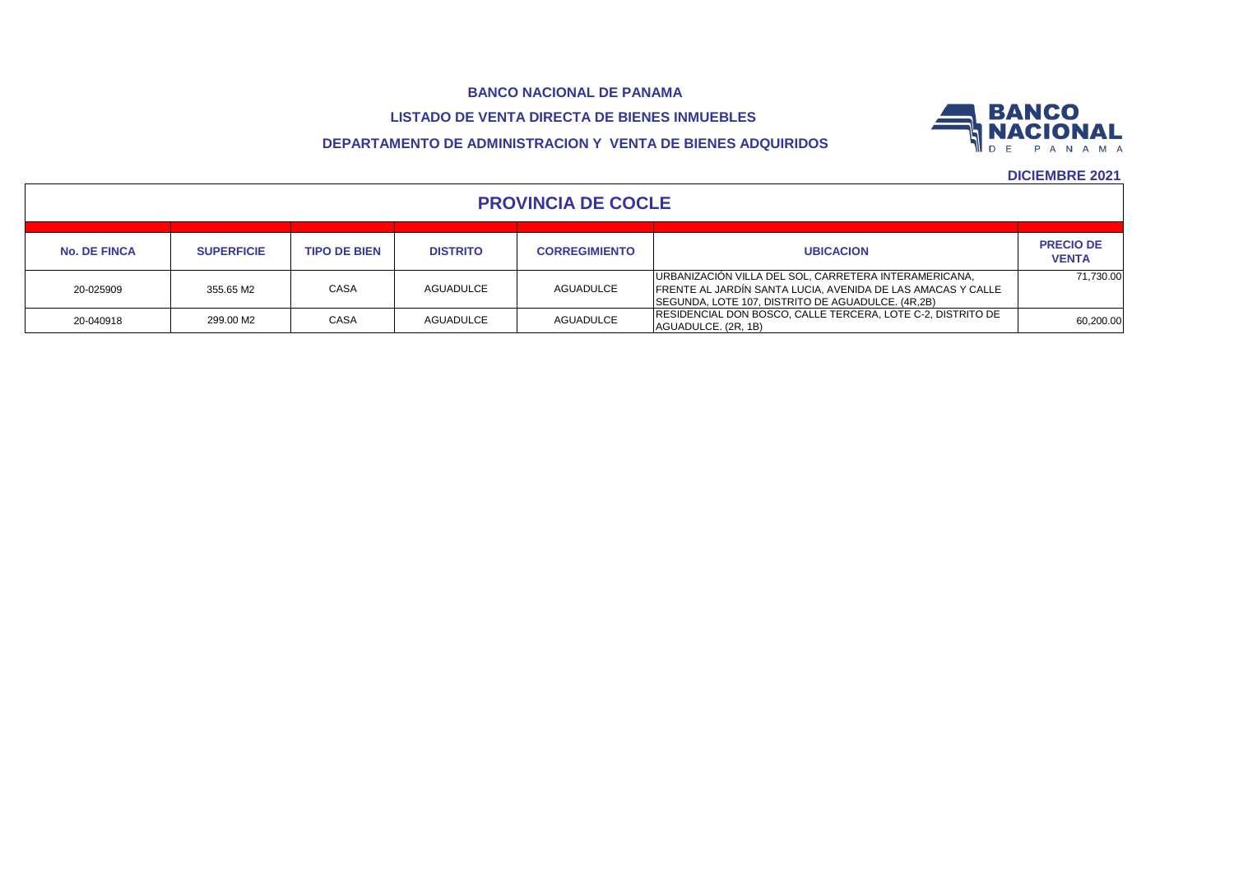# **LISTADO DE VENTA DIRECTA DE BIENES INMUEBLES**

# **DEPARTAMENTO DE ADMINISTRACION Y VENTA DE BIENES ADQUIRIDOS**



|                     | <b>PROVINCIA DE COCLE</b> |                     |                 |                      |                                                                                                                                                                           |                                  |  |  |  |  |  |  |
|---------------------|---------------------------|---------------------|-----------------|----------------------|---------------------------------------------------------------------------------------------------------------------------------------------------------------------------|----------------------------------|--|--|--|--|--|--|
| <b>No. DE FINCA</b> | <b>SUPERFICIE</b>         | <b>TIPO DE BIEN</b> | <b>DISTRITO</b> | <b>CORREGIMIENTO</b> | <b>UBICACION</b>                                                                                                                                                          | <b>PRECIO DE</b><br><b>VENTA</b> |  |  |  |  |  |  |
| 20-025909           | 355.65 M2                 | <b>CASA</b>         | AGUADULCE       | <b>AGUADULCE</b>     | URBANIZACIÓN VILLA DEL SOL, CARRETERA INTERAMERICANA,<br>FRENTE AL JARDÍN SANTA LUCIA, AVENIDA DE LAS AMACAS Y CALLE<br>SEGUNDA, LOTE 107, DISTRITO DE AGUADULCE. (4R,2B) | 71.730.00                        |  |  |  |  |  |  |
| 20-040918           | 299.00 M2                 | CASA                | AGUADULCE       | <b>AGUADULCE</b>     | RESIDENCIAL DON BOSCO, CALLE TERCERA, LOTE C-2, DISTRITO DE<br>AGUADULCE. (2R, 1B)                                                                                        | 60,200.00                        |  |  |  |  |  |  |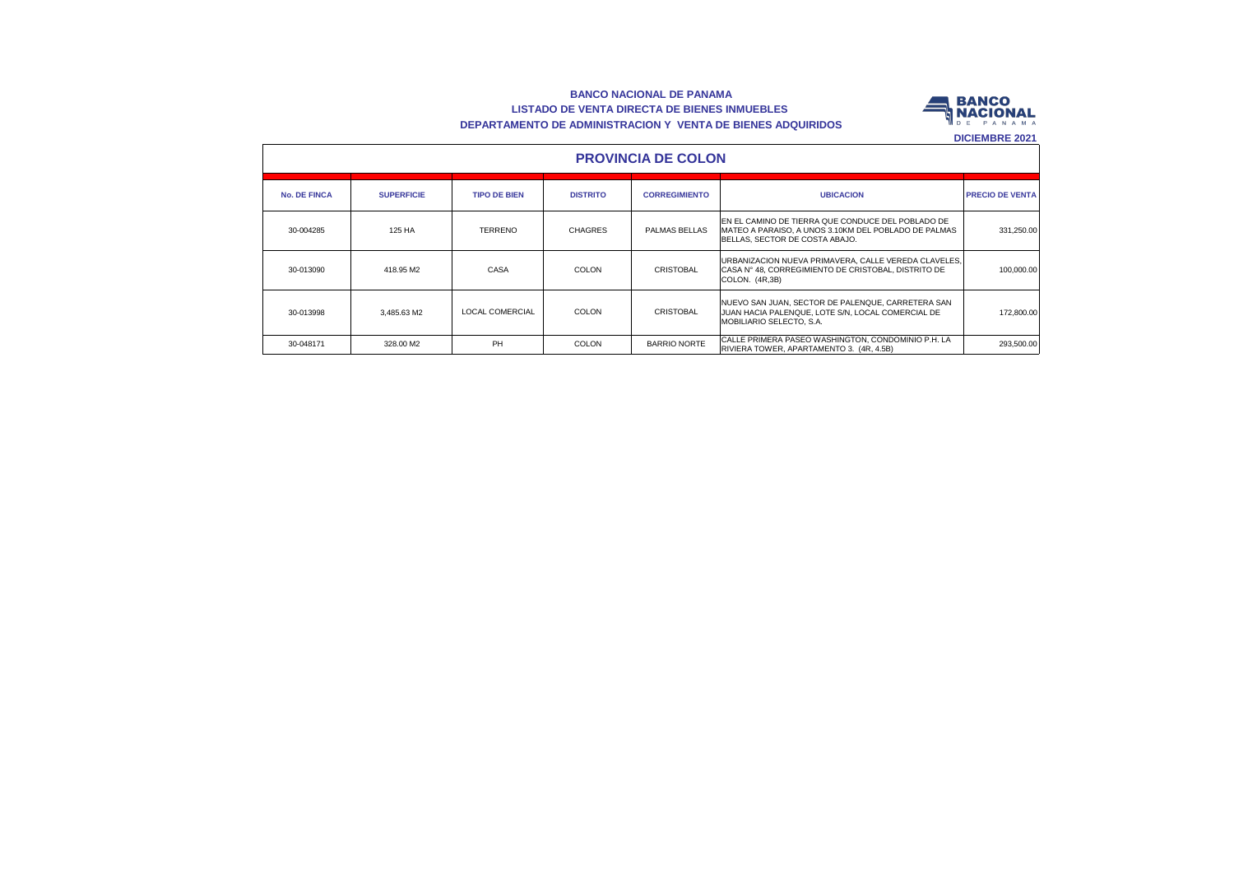#### **BANCO NACIONAL DE PANAMA LISTADO DE VENTA DIRECTA DE BIENES INMUEBLES DEPARTAMENTO DE ADMINISTRACION Y VENTA DE BIENES ADQUIRIDOS**



|                     | <b>PROVINCIA DE COLON</b> |                     |                 |                      |                                                                                                                                              |                        |  |  |  |  |  |  |
|---------------------|---------------------------|---------------------|-----------------|----------------------|----------------------------------------------------------------------------------------------------------------------------------------------|------------------------|--|--|--|--|--|--|
| <b>No. DE FINCA</b> | <b>SUPERFICIE</b>         | <b>TIPO DE BIEN</b> | <b>DISTRITO</b> | <b>CORREGIMIENTO</b> | <b>UBICACION</b>                                                                                                                             | <b>PRECIO DE VENTA</b> |  |  |  |  |  |  |
| 30-004285           | 125 HA                    | <b>TERRENO</b>      | <b>CHAGRES</b>  | PALMAS BELLAS        | EN EL CAMINO DE TIERRA QUE CONDUCE DEL POBLADO DE<br>IMATEO A PARAISO. A UNOS 3.10KM DEL POBLADO DE PALMAS<br>BELLAS. SECTOR DE COSTA ABAJO. | 331.250.00             |  |  |  |  |  |  |
| 30-013090           | 418.95 M2                 | CASA                | <b>COLON</b>    | <b>CRISTOBAL</b>     | URBANIZACION NUEVA PRIMAVERA, CALLE VEREDA CLAVELES,<br>CASA N° 48. CORREGIMIENTO DE CRISTOBAL. DISTRITO DE<br>COLON. (4R,3B)                | 100.000.00             |  |  |  |  |  |  |
| 30-013998           | 3.485.63 M2               | LOCAL COMERCIAL     | COLON           | CRISTOBAL            | NUEVO SAN JUAN. SECTOR DE PALENQUE. CARRETERA SAN<br>JUAN HACIA PALENQUE. LOTE S/N. LOCAL COMERCIAL DE<br>MOBILIARIO SELECTO, S.A.           | 172,800.00             |  |  |  |  |  |  |
| 30-048171           | 328.00 M2                 | PH                  | COLON           | BARRIO NORTE         | CALLE PRIMERA PASEO WASHINGTON, CONDOMINIO P.H. LA<br>RIVIERA TOWER, APARTAMENTO 3. (4R, 4.5B)                                               | 293.500.00             |  |  |  |  |  |  |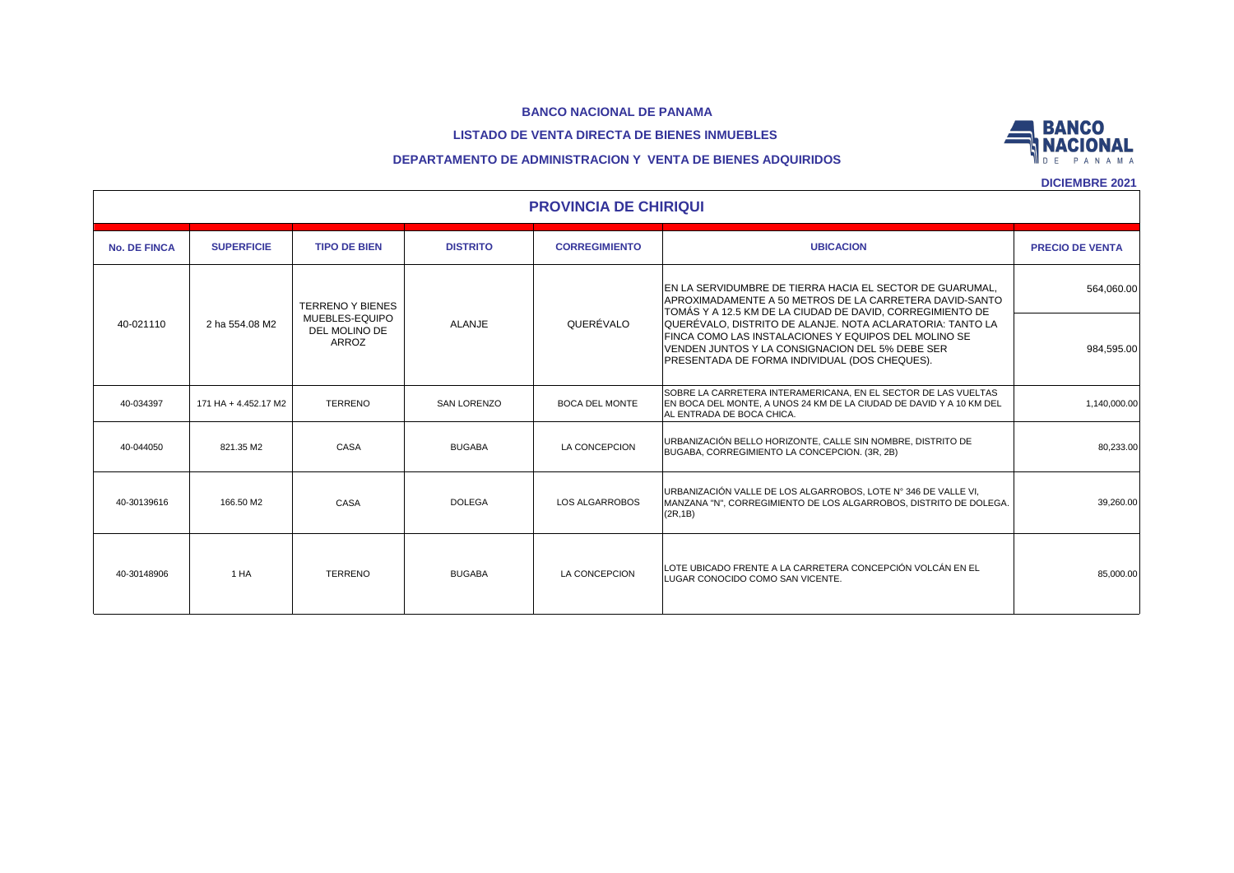#### **LISTADO DE VENTA DIRECTA DE BIENES INMUEBLES**



### **DEPARTAMENTO DE ADMINISTRACION Y VENTA DE BIENES ADQUIRIDOS**

|                     | <b>PROVINCIA DE CHIRIQUI</b> |                                                                     |                    |                       |                                                                                                                                                                                                                                                                                                                                                                                                           |                          |  |  |  |  |  |  |
|---------------------|------------------------------|---------------------------------------------------------------------|--------------------|-----------------------|-----------------------------------------------------------------------------------------------------------------------------------------------------------------------------------------------------------------------------------------------------------------------------------------------------------------------------------------------------------------------------------------------------------|--------------------------|--|--|--|--|--|--|
| <b>No. DE FINCA</b> | <b>SUPERFICIE</b>            | <b>TIPO DE BIEN</b>                                                 | <b>DISTRITO</b>    | <b>CORREGIMIENTO</b>  | <b>UBICACION</b>                                                                                                                                                                                                                                                                                                                                                                                          | <b>PRECIO DE VENTA</b>   |  |  |  |  |  |  |
| 40-021110           | 2 ha 554.08 M2               | <b>TERRENO Y BIENES</b><br>MUEBLES-EQUIPO<br>DEL MOLINO DE<br>ARROZ | <b>ALANJE</b>      | QUERÉVALO             | EN LA SERVIDUMBRE DE TIERRA HACIA EL SECTOR DE GUARUMAL.<br>APROXIMADAMENTE A 50 METROS DE LA CARRETERA DAVID-SANTO<br>TOMÁS Y A 12.5 KM DE LA CIUDAD DE DAVID, CORREGIMIENTO DE<br>QUERÉVALO, DISTRITO DE ALANJE. NOTA ACLARATORIA: TANTO LA<br>FINCA COMO LAS INSTALACIONES Y EQUIPOS DEL MOLINO SE<br>VENDEN JUNTOS Y LA CONSIGNACION DEL 5% DEBE SER<br>PRESENTADA DE FORMA INDIVIDUAL (DOS CHEQUES). | 564,060.00<br>984,595.00 |  |  |  |  |  |  |
| 40-034397           | 171 HA + 4.452.17 M2         | <b>TERRENO</b>                                                      | <b>SAN LORENZO</b> | <b>BOCA DEL MONTE</b> | SOBRE LA CARRETERA INTERAMERICANA. EN EL SECTOR DE LAS VUELTAS<br>EN BOCA DEL MONTE, A UNOS 24 KM DE LA CIUDAD DE DAVID Y A 10 KM DEL<br>AL ENTRADA DE BOCA CHICA.                                                                                                                                                                                                                                        | 1,140,000.00             |  |  |  |  |  |  |
| 40-044050           | 821.35 M2                    | CASA                                                                | <b>BUGABA</b>      | LA CONCEPCION         | URBANIZACIÓN BELLO HORIZONTE, CALLE SIN NOMBRE, DISTRITO DE<br>BUGABA, CORREGIMIENTO LA CONCEPCION. (3R, 2B)                                                                                                                                                                                                                                                                                              | 80,233.00                |  |  |  |  |  |  |
| 40-30139616         | 166.50 M2                    | CASA                                                                | <b>DOLEGA</b>      | <b>LOS ALGARROBOS</b> | URBANIZACIÓN VALLE DE LOS ALGARROBOS, LOTE Nº 346 DE VALLE VI,<br>MANZANA "N", CORREGIMIENTO DE LOS ALGARROBOS, DISTRITO DE DOLEGA.<br>(2R, 1B)                                                                                                                                                                                                                                                           | 39,260.00                |  |  |  |  |  |  |
| 40-30148906         | 1 HA                         | <b>TERRENO</b>                                                      | <b>BUGABA</b>      | LA CONCEPCION         | LOTE UBICADO FRENTE A LA CARRETERA CONCEPCIÓN VOLCÁN EN EL<br>LUGAR CONOCIDO COMO SAN VICENTE.                                                                                                                                                                                                                                                                                                            | 85,000.00                |  |  |  |  |  |  |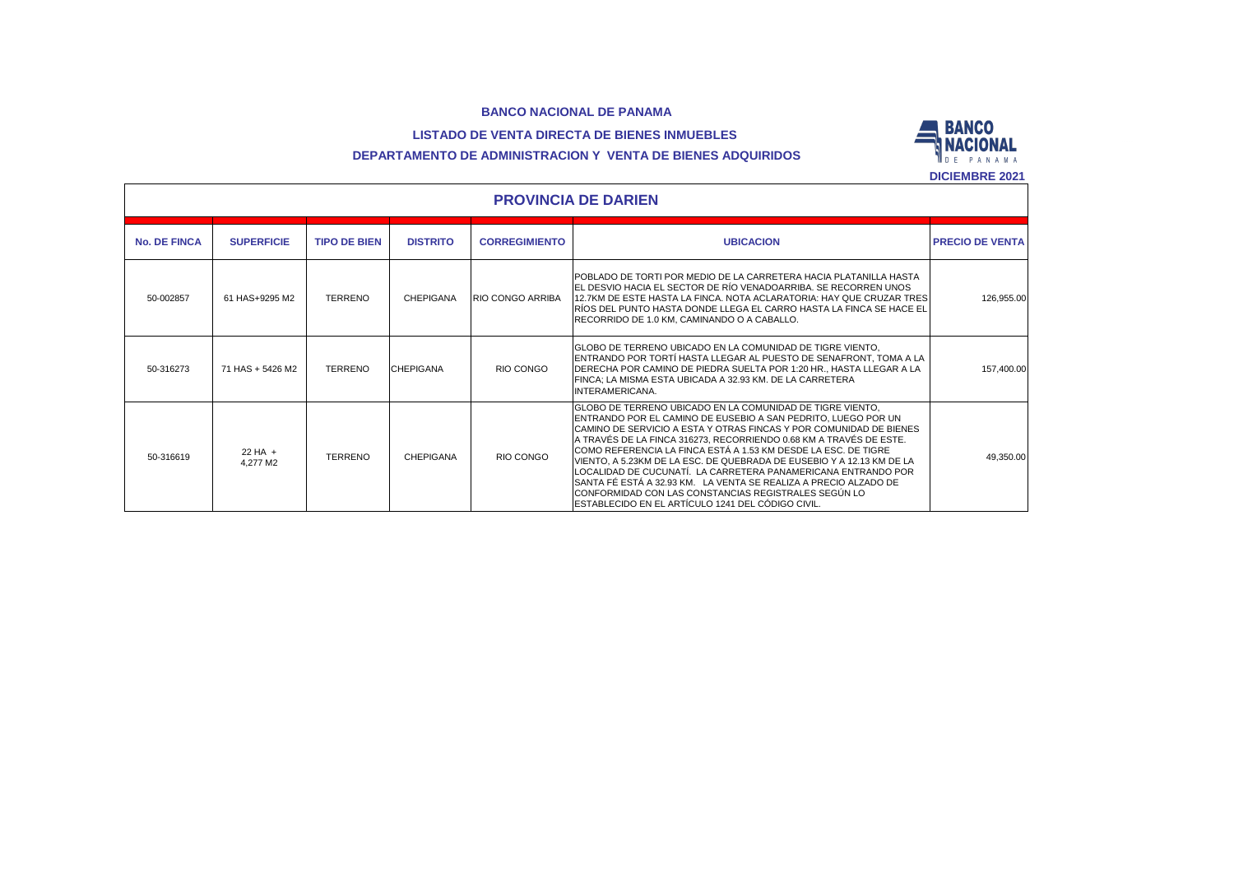### **LISTADO DE VENTA DIRECTA DE BIENES INMUEBLES**



# **DEPARTAMENTO DE ADMINISTRACION Y VENTA DE BIENES ADQUIRIDOS**

|                     |                            |                     |                  |                         |                                                                                                                                                                                                                                                                                                                                                                                                                                                                                                                                                                                                                                                                       | <b>DICIEMBRE 2021</b>  |  |  |  |  |  |  |
|---------------------|----------------------------|---------------------|------------------|-------------------------|-----------------------------------------------------------------------------------------------------------------------------------------------------------------------------------------------------------------------------------------------------------------------------------------------------------------------------------------------------------------------------------------------------------------------------------------------------------------------------------------------------------------------------------------------------------------------------------------------------------------------------------------------------------------------|------------------------|--|--|--|--|--|--|
|                     | <b>PROVINCIA DE DARIEN</b> |                     |                  |                         |                                                                                                                                                                                                                                                                                                                                                                                                                                                                                                                                                                                                                                                                       |                        |  |  |  |  |  |  |
| <b>No. DE FINCA</b> | <b>SUPERFICIE</b>          | <b>TIPO DE BIEN</b> | <b>DISTRITO</b>  | <b>CORREGIMIENTO</b>    | <b>UBICACION</b>                                                                                                                                                                                                                                                                                                                                                                                                                                                                                                                                                                                                                                                      | <b>PRECIO DE VENTA</b> |  |  |  |  |  |  |
| 50-002857           | 61 HAS+9295 M2             | <b>TERRENO</b>      | CHEPIGANA        | <b>RIO CONGO ARRIBA</b> | POBLADO DE TORTI POR MEDIO DE LA CARRETERA HACIA PLATANILLA HASTA<br>EL DESVIO HACIA EL SECTOR DE RÍO VENADOARRIBA. SE RECORREN UNOS<br>12.7KM DE ESTE HASTA LA FINCA. NOTA ACLARATORIA: HAY QUE CRUZAR TRES<br>IRÍOS DEL PUNTO HASTA DONDE LLEGA EL CARRO HASTA LA FINCA SE HACE EL<br>RECORRIDO DE 1.0 KM. CAMINANDO O A CABALLO.                                                                                                                                                                                                                                                                                                                                   | 126.955.00             |  |  |  |  |  |  |
| 50-316273           | 71 HAS + 5426 M2           | <b>TERRENO</b>      | <b>CHEPIGANA</b> | RIO CONGO               | IGLOBO DE TERRENO UBICADO EN LA COMUNIDAD DE TIGRE VIENTO.<br>ENTRANDO POR TORTÍ HASTA LLEGAR AL PUESTO DE SENAFRONT. TOMA A LA<br>DERECHA POR CAMINO DE PIEDRA SUELTA POR 1:20 HR., HASTA LLEGAR A LA<br>FINCA: LA MISMA ESTA UBICADA A 32.93 KM. DE LA CARRETERA<br>INTERAMERICANA.                                                                                                                                                                                                                                                                                                                                                                                 | 157.400.00             |  |  |  |  |  |  |
| 50-316619           | $22 HA +$<br>4.277 M2      | <b>TERRENO</b>      | <b>CHEPIGANA</b> | RIO CONGO               | GLOBO DE TERRENO UBICADO EN LA COMUNIDAD DE TIGRE VIENTO.<br>ENTRANDO POR EL CAMINO DE EUSEBIO A SAN PEDRITO. LUEGO POR UN<br>CAMINO DE SERVICIO A ESTA Y OTRAS FINCAS Y POR COMUNIDAD DE BIENES<br>A TRAVÉS DE LA FINCA 316273, RECORRIENDO 0.68 KM A TRAVÉS DE ESTE.<br>ICOMO REFERENCIA LA FINCA ESTÁ A 1.53 KM DESDE LA ESC. DE TIGRE<br>VIENTO, A 5.23KM DE LA ESC. DE QUEBRADA DE EUSEBIO Y A 12.13 KM DE LA<br>LOCALIDAD DE CUCUNATÍ. LA CARRETERA PANAMERICANA ENTRANDO POR<br>SANTA FÉ ESTÁ A 32.93 KM. LA VENTA SE REALIZA A PRECIO ALZADO DE<br>ICONFORMIDAD CON LAS CONSTANCIAS REGISTRALES SEGUN LO<br>ESTABLECIDO EN EL ARTÍCULO 1241 DEL CÓDIGO CIVIL. | 49.350.00              |  |  |  |  |  |  |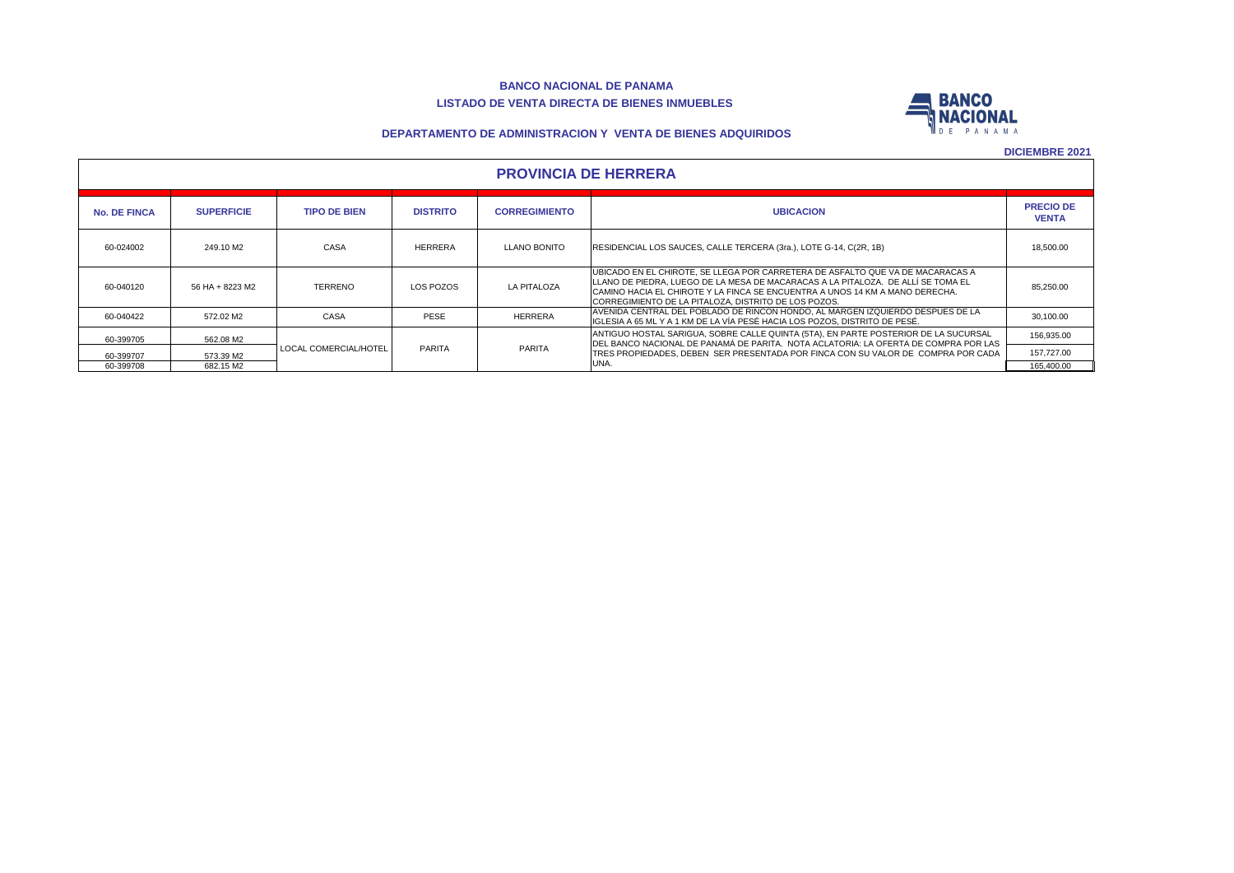#### **BANCO NACIONAL DE PANAMA LISTADO DE VENTA DIRECTA DE BIENES INMUEBLES**



#### **DEPARTAMENTO DE ADMINISTRACION Y VENTA DE BIENES ADQUIRIDOS**

| <b>PROVINCIA DE HERRERA</b> |
|-----------------------------|
|-----------------------------|

| <b>No. DE FINCA</b> | <b>SUPERFICIE</b> | <b>TIPO DE BIEN</b>   | <b>DISTRITO</b> | <b>CORREGIMIENTO</b> | <b>UBICACION</b>                                                                                                                                                                                                                                                                                             | <b>PRECIO DE</b><br><b>VENTA</b> |  |  |  |  |  |
|---------------------|-------------------|-----------------------|-----------------|----------------------|--------------------------------------------------------------------------------------------------------------------------------------------------------------------------------------------------------------------------------------------------------------------------------------------------------------|----------------------------------|--|--|--|--|--|
| 60-024002           | 249.10 M2         | CASA                  | <b>HERRERA</b>  | <b>LLANO BONITO</b>  | RESIDENCIAL LOS SAUCES, CALLE TERCERA (3ra.), LOTE G-14, C(2R, 1B)                                                                                                                                                                                                                                           | 18,500.00                        |  |  |  |  |  |
| 60-040120           | 56 HA + 8223 M2   | <b>TERRENO</b>        | LOS POZOS       | <b>LA PITALOZA</b>   | IUBICADO EN EL CHIROTE. SE LLEGA POR CARRETERA DE ASFALTO QUE VA DE MACARACAS A<br>LLLANO DE PIEDRA. LUEGO DE LA MESA DE MACARACAS A LA PITALOZA. DE ALLÍ SE TOMA EL<br>CAMINO HACIA EL CHIROTE Y LA FINCA SE ENCUENTRA A UNOS 14 KM A MANO DERECHA.<br>CORREGIMIENTO DE LA PITALOZA. DISTRITO DE LOS POZOS. | 85.250.00                        |  |  |  |  |  |
| 60-040422           | 572.02 M2         | CASA                  | <b>PESE</b>     | <b>HERRERA</b>       | AVENIDA CENTRAL DEL POBLADO DE RINCON HONDO, AL MARGEN IZQUIERDO DESPUES DE LA<br>IIGLESIA A 65 ML Y A 1 KM DE LA VÍA PESÉ HACIA LOS POZOS. DISTRITO DE PESÉ.                                                                                                                                                | 30,100.00                        |  |  |  |  |  |
| 60-399705           | 562.08 M2         |                       |                 |                      | ANTIGUO HOSTAL SARIGUA, SOBRE CALLE QUINTA (5TA), EN PARTE POSTERIOR DE LA SUCURSAL<br>DEL BANCO NACIONAL DE PANAMÁ DE PARITA. NOTA ACLATORIA: LA OFERTA DE COMPRA POR LAS                                                                                                                                   | 156,935.00                       |  |  |  |  |  |
| 60-399707           | 573.39 M2         | LOCAL COMERCIAL/HOTEL | <b>PARITA</b>   | PARITA               | TRES PROPIEDADES. DEBEN SER PRESENTADA POR FINCA CON SU VALOR DE COMPRA POR CADA<br>UNA.                                                                                                                                                                                                                     | 157,727.00                       |  |  |  |  |  |
| 60-399708           | 682.15 M2         |                       |                 |                      |                                                                                                                                                                                                                                                                                                              | 165.400.00                       |  |  |  |  |  |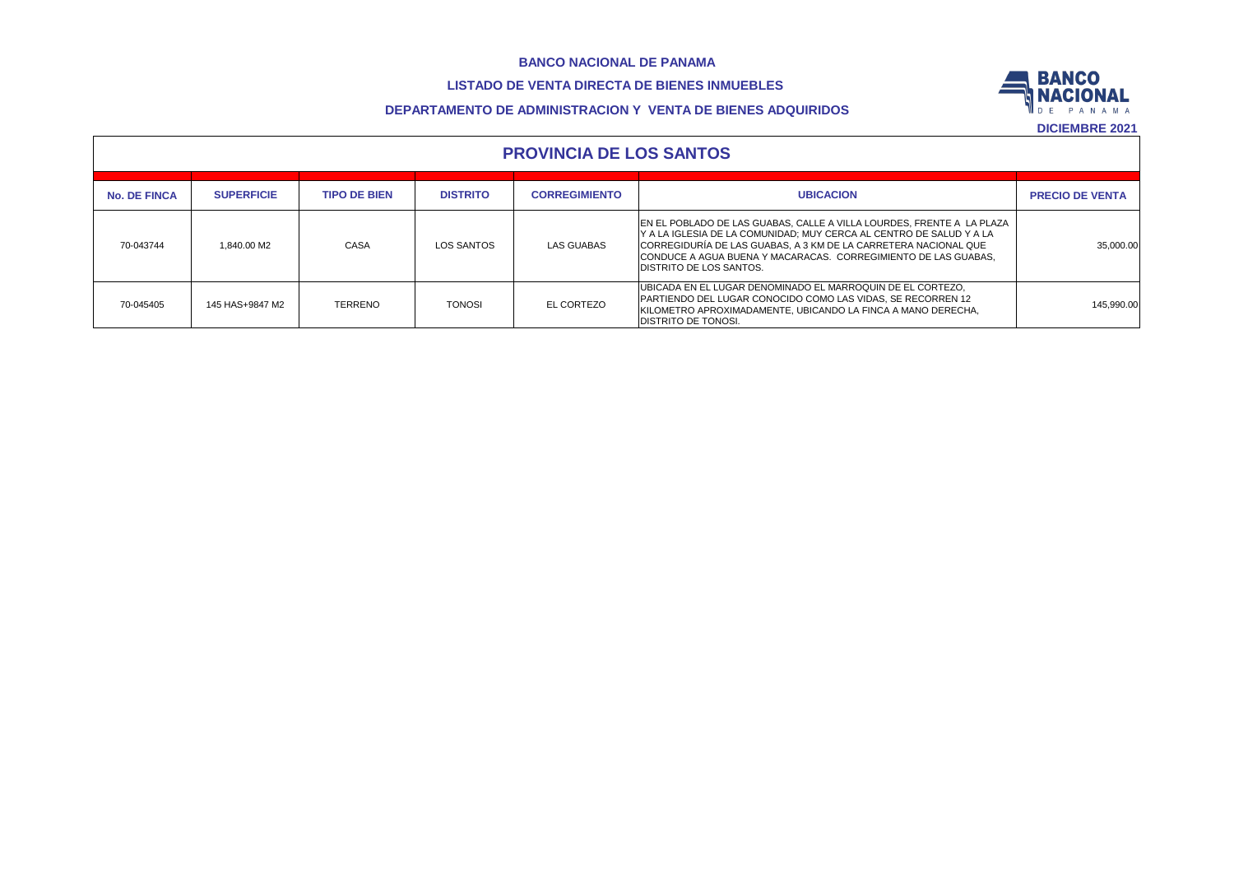# **LISTADO DE VENTA DIRECTA DE BIENES INMUEBLES**



### **DEPARTAMENTO DE ADMINISTRACION Y VENTA DE BIENES ADQUIRIDOS**

|                     | <b>PROVINCIA DE LOS SANTOS</b> |                     |                 |                      |                                                                                                                                                                                                                                                                                                                     |                        |  |  |  |  |  |  |
|---------------------|--------------------------------|---------------------|-----------------|----------------------|---------------------------------------------------------------------------------------------------------------------------------------------------------------------------------------------------------------------------------------------------------------------------------------------------------------------|------------------------|--|--|--|--|--|--|
| <b>No. DE FINCA</b> | <b>SUPERFICIE</b>              | <b>TIPO DE BIEN</b> | <b>DISTRITO</b> | <b>CORREGIMIENTO</b> | <b>UBICACION</b>                                                                                                                                                                                                                                                                                                    | <b>PRECIO DE VENTA</b> |  |  |  |  |  |  |
| 70-043744           | 1.840.00 M2                    | CASA                | LOS SANTOS      | LAS GUABAS           | EN EL POBLADO DE LAS GUABAS, CALLE A VILLA LOURDES, FRENTE A LA PLAZA<br>Y A LA IGLESIA DE LA COMUNIDAD; MUY CERCA AL CENTRO DE SALUD Y A LA<br>CORREGIDURÍA DE LAS GUABAS, A 3 KM DE LA CARRETERA NACIONAL QUE<br>CONDUCE A AGUA BUENA Y MACARACAS. CORREGIMIENTO DE LAS GUABAS.<br><b>DISTRITO DE LOS SANTOS.</b> | 35.000.00              |  |  |  |  |  |  |
| 70-045405           | 145 HAS+9847 M2                | TERRENO             | <b>TONOSI</b>   | EL CORTEZO           | IUBICADA EN EL LUGAR DENOMINADO EL MARROQUIN DE EL CORTEZO.<br><b>PARTIENDO DEL LUGAR CONOCIDO COMO LAS VIDAS, SE RECORREN 12</b><br>KILOMETRO APROXIMADAMENTE, UBICANDO LA FINCA A MANO DERECHA,<br><b>IDISTRITO DE TONOSI.</b>                                                                                    | 145,990.00             |  |  |  |  |  |  |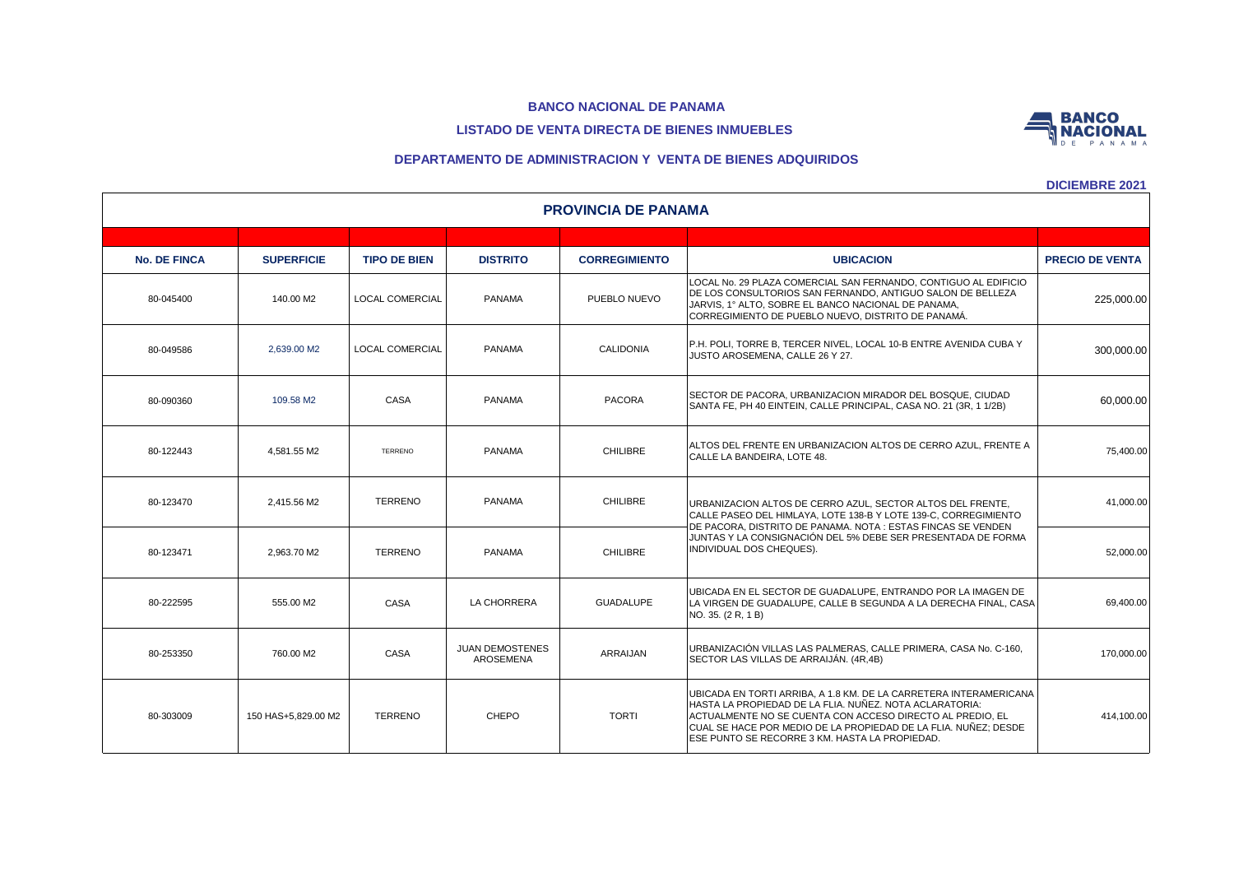# **LISTADO DE VENTA DIRECTA DE BIENES INMUEBLES**

#### **DEPARTAMENTO DE ADMINISTRACION Y VENTA DE BIENES ADQUIRIDOS**

| <b>PROVINCIA DE PANAMA</b> |                     |                        |                                            |                      |                                                                                                                                                                                                                                                                                                                |                        |  |  |  |  |  |
|----------------------------|---------------------|------------------------|--------------------------------------------|----------------------|----------------------------------------------------------------------------------------------------------------------------------------------------------------------------------------------------------------------------------------------------------------------------------------------------------------|------------------------|--|--|--|--|--|
|                            |                     |                        |                                            |                      |                                                                                                                                                                                                                                                                                                                |                        |  |  |  |  |  |
| <b>No. DE FINCA</b>        | <b>SUPERFICIE</b>   | <b>TIPO DE BIEN</b>    | <b>DISTRITO</b>                            | <b>CORREGIMIENTO</b> | <b>UBICACION</b>                                                                                                                                                                                                                                                                                               | <b>PRECIO DE VENTA</b> |  |  |  |  |  |
| 80-045400                  | 140.00 M2           | <b>LOCAL COMERCIAL</b> | <b>PANAMA</b>                              | PUEBLO NUEVO         | LOCAL No. 29 PLAZA COMERCIAL SAN FERNANDO, CONTIGUO AL EDIFICIO<br>DE LOS CONSULTORIOS SAN FERNANDO, ANTIGUO SALON DE BELLEZA<br>JARVIS, 1º ALTO, SOBRE EL BANCO NACIONAL DE PANAMA,<br>CORREGIMIENTO DE PUEBLO NUEVO, DISTRITO DE PANAMÁ.                                                                     | 225,000.00             |  |  |  |  |  |
| 80-049586                  | 2,639.00 M2         | <b>LOCAL COMERCIAL</b> | <b>PANAMA</b>                              | <b>CALIDONIA</b>     | P.H. POLI, TORRE B, TERCER NIVEL, LOCAL 10-B ENTRE AVENIDA CUBA Y<br>JUSTO AROSEMENA, CALLE 26 Y 27.                                                                                                                                                                                                           | 300,000.00             |  |  |  |  |  |
| 80-090360                  | 109.58 M2           | CASA                   | <b>PANAMA</b>                              | <b>PACORA</b>        | SECTOR DE PACORA, URBANIZACION MIRADOR DEL BOSQUE, CIUDAD<br>SANTA FE, PH 40 EINTEIN, CALLE PRINCIPAL, CASA NO. 21 (3R, 1 1/2B)                                                                                                                                                                                | 60,000.00              |  |  |  |  |  |
| 80-122443                  | 4.581.55 M2         | <b>TERRENO</b>         | <b>PANAMA</b>                              | <b>CHILIBRE</b>      | ALTOS DEL FRENTE EN URBANIZACION ALTOS DE CERRO AZUL. FRENTE A<br>CALLE LA BANDEIRA. LOTE 48.                                                                                                                                                                                                                  | 75,400.00              |  |  |  |  |  |
| 80-123470                  | 2,415.56 M2         | <b>TERRENO</b>         | PANAMA                                     | <b>CHILIBRE</b>      | URBANIZACION ALTOS DE CERRO AZUL, SECTOR ALTOS DEL FRENTE,<br>CALLE PASEO DEL HIMLAYA, LOTE 138-B Y LOTE 139-C, CORREGIMIENTO<br>DE PACORA, DISTRITO DE PANAMA. NOTA : ESTAS FINCAS SE VENDEN                                                                                                                  | 41,000.00              |  |  |  |  |  |
| 80-123471                  | 2.963.70 M2         | <b>TERRENO</b>         | <b>PANAMA</b>                              | <b>CHILIBRE</b>      | JUNTAS Y LA CONSIGNACIÓN DEL 5% DEBE SER PRESENTADA DE FORMA<br>INDIVIDUAL DOS CHEQUES).                                                                                                                                                                                                                       | 52,000.00              |  |  |  |  |  |
| 80-222595                  | 555.00 M2           | CASA                   | LA CHORRERA                                | <b>GUADALUPE</b>     | UBICADA EN EL SECTOR DE GUADALUPE, ENTRANDO POR LA IMAGEN DE<br>LA VIRGEN DE GUADALUPE. CALLE B SEGUNDA A LA DERECHA FINAL. CASA<br>NO. 35. (2 R, 1 B)                                                                                                                                                         | 69,400.00              |  |  |  |  |  |
| 80-253350                  | 760.00 M2           | CASA                   | <b>JUAN DEMOSTENES</b><br><b>AROSEMENA</b> | ARRAIJAN             | URBANIZACIÓN VILLAS LAS PALMERAS, CALLE PRIMERA, CASA No. C-160,<br>SECTOR LAS VILLAS DE ARRAIJÁN. (4R,4B)                                                                                                                                                                                                     | 170,000.00             |  |  |  |  |  |
| 80-303009                  | 150 HAS+5.829.00 M2 | <b>TERRENO</b>         | CHEPO                                      | <b>TORTI</b>         | UBICADA EN TORTI ARRIBA, A 1.8 KM. DE LA CARRETERA INTERAMERICANA<br>HASTA LA PROPIEDAD DE LA FLIA. NUÑEZ. NOTA ACLARATORIA:<br>ACTUALMENTE NO SE CUENTA CON ACCESO DIRECTO AL PREDIO, EL<br>CUAL SE HACE POR MEDIO DE LA PROPIEDAD DE LA FLIA. NUÑEZ; DESDE<br>ESE PUNTO SE RECORRE 3 KM. HASTA LA PROPIEDAD. | 414,100.00             |  |  |  |  |  |

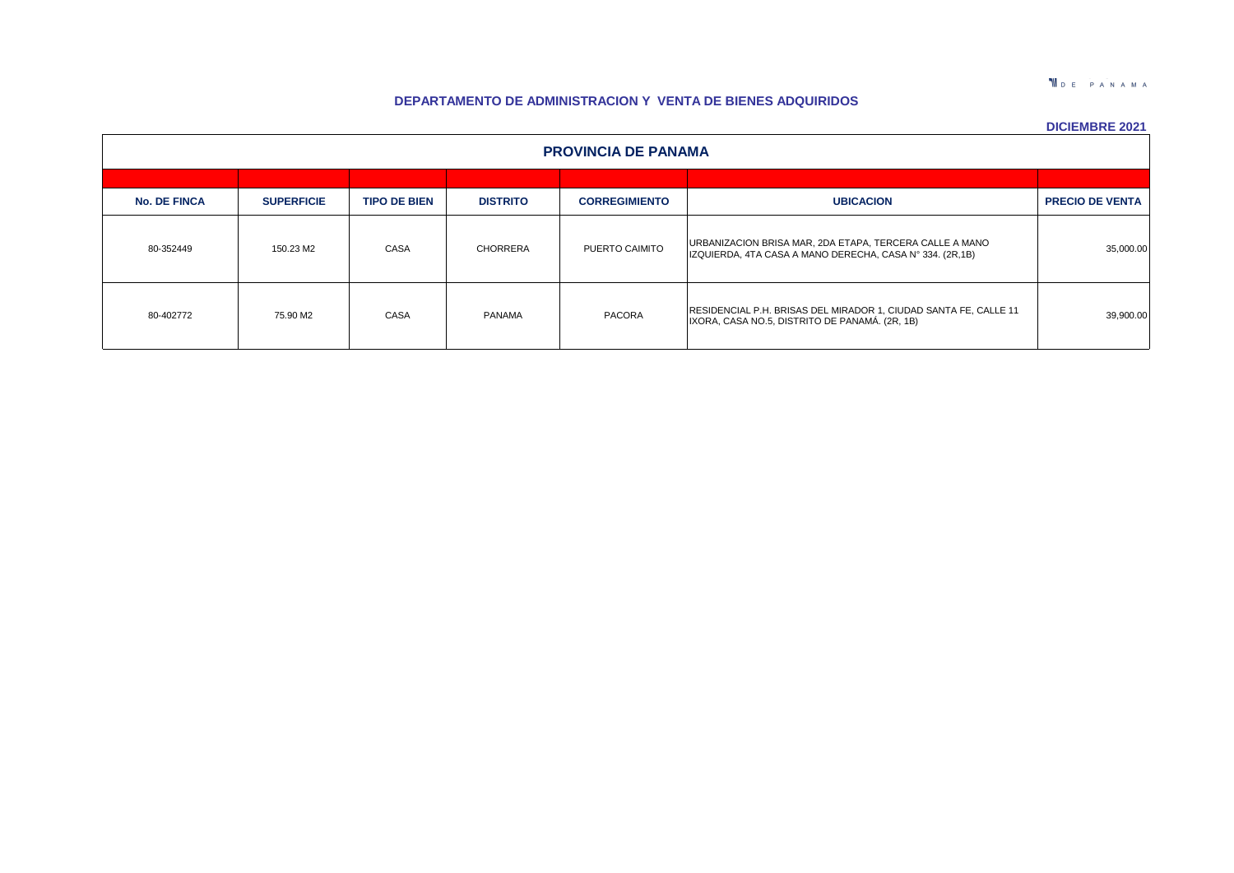**T**DE PANAMA

# **DEPARTAMENTO DE ADMINISTRACION Y VENTA DE BIENES ADQUIRIDOS**

| <b>PROVINCIA DE PANAMA</b> |                   |                     |                 |                      |                                                                                                                     |                        |  |  |  |  |  |
|----------------------------|-------------------|---------------------|-----------------|----------------------|---------------------------------------------------------------------------------------------------------------------|------------------------|--|--|--|--|--|
|                            |                   |                     |                 |                      |                                                                                                                     |                        |  |  |  |  |  |
| <b>No. DE FINCA</b>        | <b>SUPERFICIE</b> | <b>TIPO DE BIEN</b> | <b>DISTRITO</b> | <b>CORREGIMIENTO</b> | <b>UBICACION</b>                                                                                                    | <b>PRECIO DE VENTA</b> |  |  |  |  |  |
| 80-352449                  | 150.23 M2         | CASA                | <b>CHORRERA</b> | PUERTO CAIMITO       | URBANIZACION BRISA MAR, 2DA ETAPA, TERCERA CALLE A MANO<br>IZQUIERDA, 4TA CASA A MANO DERECHA, CASA Nº 334. (2R,1B) | 35,000.00              |  |  |  |  |  |
| 80-402772                  | 75.90 M2          | CASA                | PANAMA          | PACORA               | RESIDENCIAL P.H. BRISAS DEL MIRADOR 1, CIUDAD SANTA FE, CALLE 11<br>IXORA, CASA NO.5, DISTRITO DE PANAMÁ. (2R, 1B)  | 39,900.00              |  |  |  |  |  |